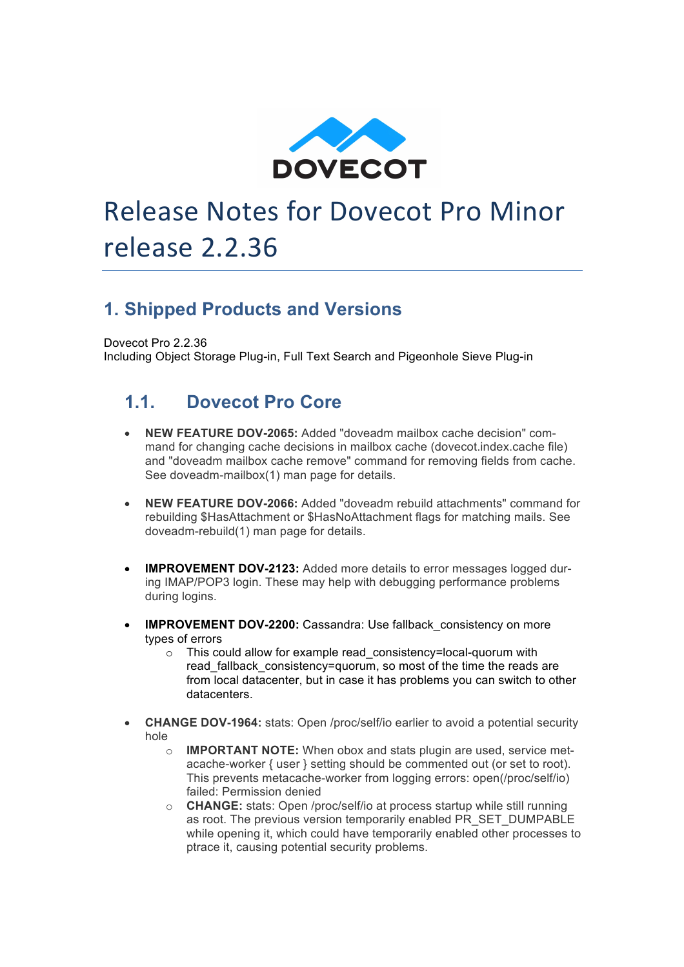

# Release Notes for Dovecot Pro Minor release 2.2.36

#### **1. Shipped Products and Versions**

Dovecot Pro 2.2.36 Including Object Storage Plug-in, Full Text Search and Pigeonhole Sieve Plug-in

#### **1.1. Dovecot Pro Core**

- **NEW FEATURE DOV-2065:** Added "doveadm mailbox cache decision" command for changing cache decisions in mailbox cache (dovecot.index.cache file) and "doveadm mailbox cache remove" command for removing fields from cache. See doveadm-mailbox(1) man page for details.
- **NEW FEATURE DOV-2066:** Added "doveadm rebuild attachments" command for rebuilding \$HasAttachment or \$HasNoAttachment flags for matching mails. See doveadm-rebuild(1) man page for details.
- **IMPROVEMENT DOV-2123:** Added more details to error messages logged during IMAP/POP3 login. These may help with debugging performance problems during logins.
- **IMPROVEMENT DOV-2200:** Cassandra: Use fallback consistency on more types of errors
	- o This could allow for example read\_consistency=local-quorum with read fallback consistency=quorum, so most of the time the reads are from local datacenter, but in case it has problems you can switch to other datacenters.
- **CHANGE DOV-1964:** stats: Open /proc/self/io earlier to avoid a potential security hole
	- o **IMPORTANT NOTE:** When obox and stats plugin are used, service metacache-worker { user } setting should be commented out (or set to root). This prevents metacache-worker from logging errors: open(/proc/self/io) failed: Permission denied
	- o **CHANGE:** stats: Open /proc/self/io at process startup while still running as root. The previous version temporarily enabled PR\_SET\_DUMPABLE while opening it, which could have temporarily enabled other processes to ptrace it, causing potential security problems.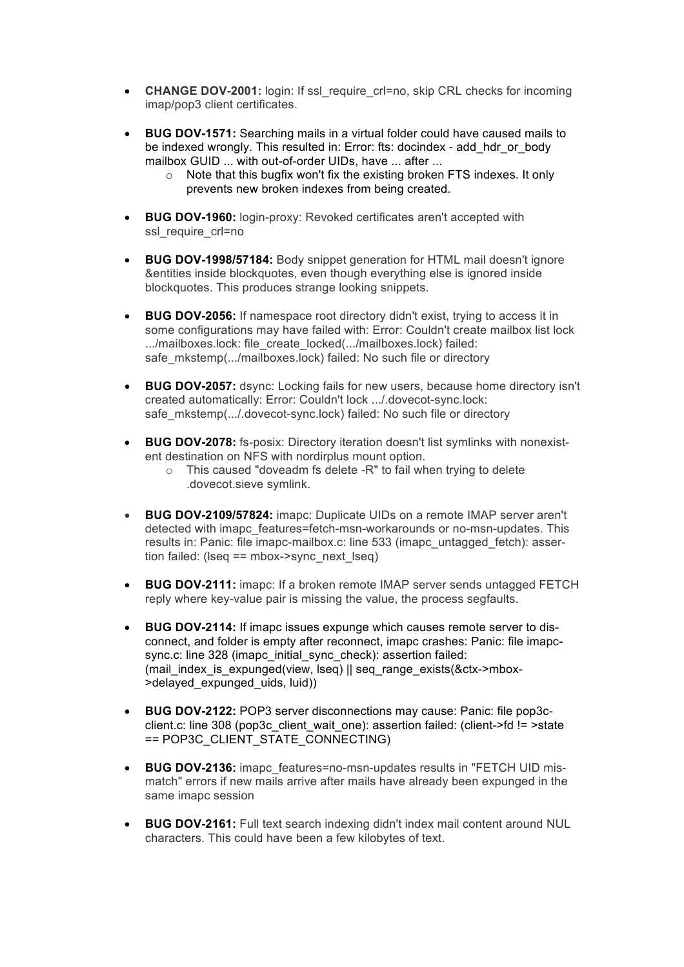- **CHANGE DOV-2001:** login: If ssl\_require\_crl=no, skip CRL checks for incoming imap/pop3 client certificates.
- **BUG DOV-1571:** Searching mails in a virtual folder could have caused mails to be indexed wrongly. This resulted in: Error: fts: docindex - add\_hdr\_or\_body mailbox GUID ... with out-of-order UIDs, have ... after ...
	- o Note that this bugfix won't fix the existing broken FTS indexes. It only prevents new broken indexes from being created.
- **BUG DOV-1960:** login-proxy: Revoked certificates aren't accepted with ssl\_require\_crl=no
- **BUG DOV-1998/57184:** Body snippet generation for HTML mail doesn't ignore &entities inside blockquotes, even though everything else is ignored inside blockquotes. This produces strange looking snippets.
- **BUG DOV-2056:** If namespace root directory didn't exist, trying to access it in some configurations may have failed with: Error: Couldn't create mailbox list lock .../mailboxes.lock: file\_create\_locked(.../mailboxes.lock) failed: safe\_mkstemp(.../mailboxes.lock) failed: No such file or directory
- **BUG DOV-2057:** dsync: Locking fails for new users, because home directory isn't created automatically: Error: Couldn't lock .../.dovecot-sync.lock: safe\_mkstemp(.../.dovecot-sync.lock) failed: No such file or directory
- **BUG DOV-2078:** fs-posix: Directory iteration doesn't list symlinks with nonexistent destination on NFS with nordirplus mount option.
	- o This caused "doveadm fs delete -R" to fail when trying to delete .dovecot.sieve symlink.
- **BUG DOV-2109/57824:** imapc: Duplicate UIDs on a remote IMAP server aren't detected with imapc\_features=fetch-msn-workarounds or no-msn-updates. This results in: Panic: file imapc-mailbox.c: line 533 (imapc\_untagged\_fetch): assertion failed: ( $\text{lseq} == \text{mbox} \text{-} \text{sync}$  next  $\text{lseq}$ )
- **BUG DOV-2111:** imapc: If a broken remote IMAP server sends untagged FETCH reply where key-value pair is missing the value, the process segfaults.
- **BUG DOV-2114:** If imapc issues expunge which causes remote server to disconnect, and folder is empty after reconnect, imapc crashes: Panic: file imapcsync.c: line 328 (imapc\_initial\_sync\_check): assertion failed: (mail\_index\_is\_expunged(view, lseq) || seq\_range\_exists(&ctx->mbox- >delayed\_expunged\_uids, luid))
- **BUG DOV-2122:** POP3 server disconnections may cause: Panic: file pop3cclient.c: line 308 (pop3c\_client\_wait\_one): assertion failed: (client->fd != >state == POP3C\_CLIENT\_STATE\_CONNECTING)
- **BUG DOV-2136:** imapc\_features=no-msn-updates results in "FETCH UID mismatch" errors if new mails arrive after mails have already been expunged in the same imapc session
- **BUG DOV-2161:** Full text search indexing didn't index mail content around NUL characters. This could have been a few kilobytes of text.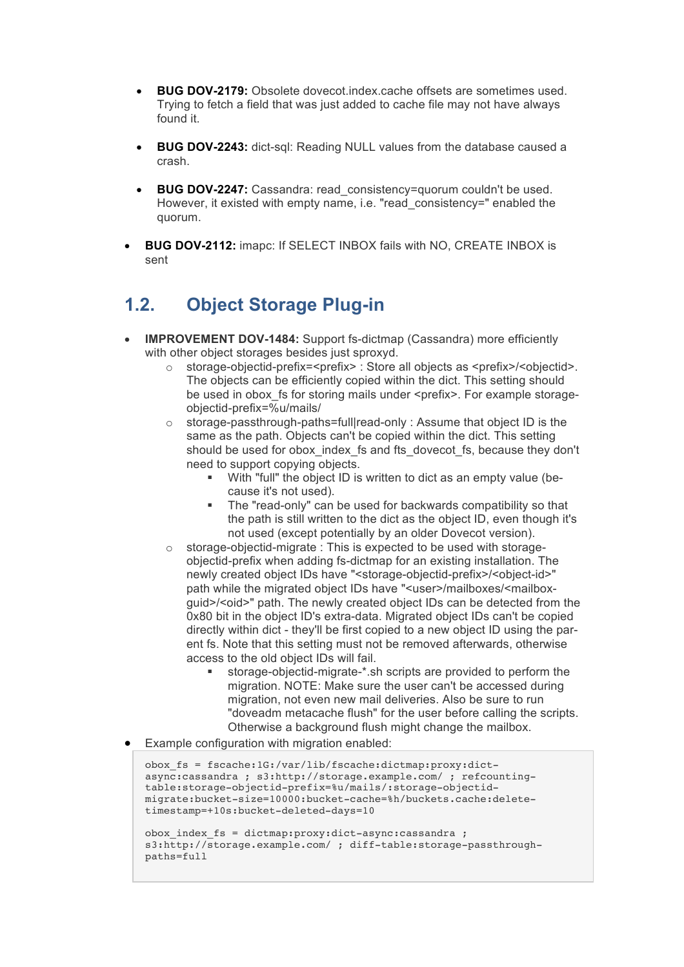- **BUG DOV-2179:** Obsolete dovecot.index.cache offsets are sometimes used. Trying to fetch a field that was just added to cache file may not have always found it.
- **BUG DOV-2243:** dict-sql: Reading NULL values from the database caused a crash.
- **BUG DOV-2247:** Cassandra: read consistency=quorum couldn't be used. However, it existed with empty name, i.e. "read\_consistency=" enabled the quorum.
- **BUG DOV-2112:** imapc: If SELECT INBOX fails with NO, CREATE INBOX is sent

## **1.2. Object Storage Plug-in**

- **IMPROVEMENT DOV-1484:** Support fs-dictmap (Cassandra) more efficiently with other object storages besides just sproxyd.
	- $\circ$  storage-objectid-prefix=<prefix> : Store all objects as <prefix>/<objectid>. The objects can be efficiently copied within the dict. This setting should be used in obox fs for storing mails under <prefix>. For example storageobjectid-prefix=%u/mails/
	- $\circ$  storage-passthrough-paths=full|read-only : Assume that object ID is the same as the path. Objects can't be copied within the dict. This setting should be used for obox\_index\_fs and fts\_dovecot\_fs, because they don't need to support copying objects.
		- § With "full" the object ID is written to dict as an empty value (because it's not used).
		- The "read-only" can be used for backwards compatibility so that the path is still written to the dict as the object ID, even though it's not used (except potentially by an older Dovecot version).
	- o storage-objectid-migrate : This is expected to be used with storageobjectid-prefix when adding fs-dictmap for an existing installation. The newly created object IDs have "<storage-objectid-prefix>/<object-id>" path while the migrated object IDs have "<user>/mailboxes/<mailboxguid>/<oid>" path. The newly created object IDs can be detected from the 0x80 bit in the object ID's extra-data. Migrated object IDs can't be copied directly within dict - they'll be first copied to a new object ID using the parent fs. Note that this setting must not be removed afterwards, otherwise access to the old object IDs will fail.
		- storage-objectid-migrate-\*.sh scripts are provided to perform the migration. NOTE: Make sure the user can't be accessed during migration, not even new mail deliveries. Also be sure to run "doveadm metacache flush" for the user before calling the scripts. Otherwise a background flush might change the mailbox.
- Example configuration with migration enabled:

```
obox_fs = fscache:1G:/var/lib/fscache:dictmap:proxy:dict-
async:cassandra ; s3:http://storage.example.com/ ; refcounting-
table:storage-objectid-prefix=%u/mails/:storage-objectid-
migrate:bucket-size=10000:bucket-cache=%h/buckets.cache:delete-
timestamp=+10s:bucket-deleted-days=10
```

```
obox_index_fs = dictmap:proxy:dict-async:cassandra ; 
s3:http://storage.example.com/ ; diff-table:storage-passthrough-
paths=full
```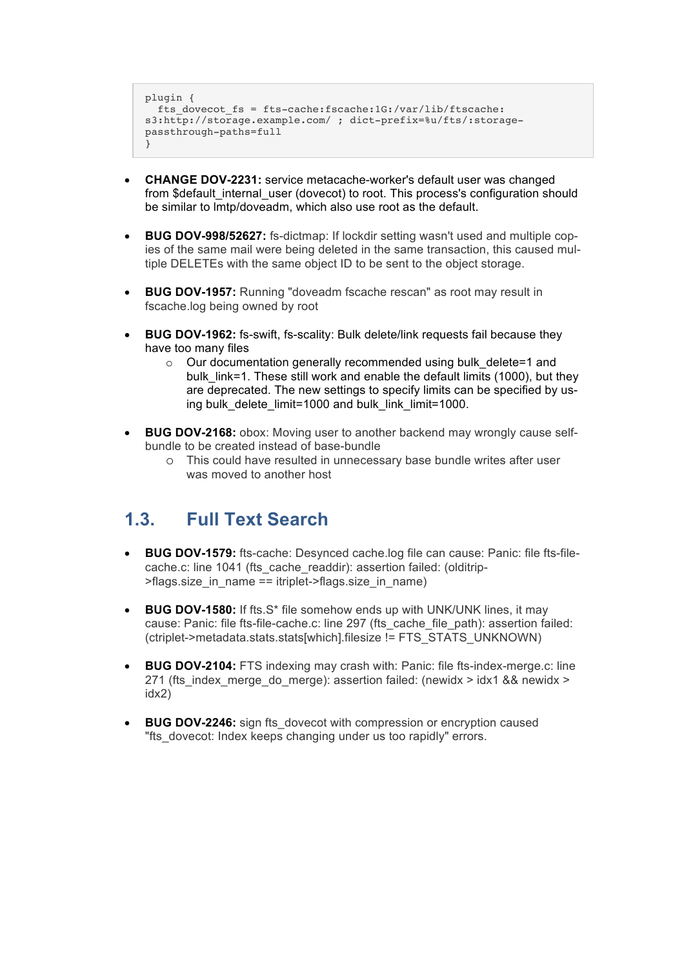```
plugin {
  fts dovecot fs = fts-cache:fscache:1G:/var/lib/ftscache:
s3:http://storage.example.com/ ; dict-prefix=%u/fts/:storage-
passthrough-paths=full
}
```
- **CHANGE DOV-2231:** service metacache-worker's default user was changed from \$default\_internal\_user (dovecot) to root. This process's configuration should be similar to lmtp/doveadm, which also use root as the default.
- **BUG DOV-998/52627:** fs-dictmap: If lockdir setting wasn't used and multiple copies of the same mail were being deleted in the same transaction, this caused multiple DELETEs with the same object ID to be sent to the object storage.
- **BUG DOV-1957:** Running "doveadm fscache rescan" as root may result in fscache.log being owned by root
- **BUG DOV-1962:** fs-swift, fs-scality: Bulk delete/link requests fail because they have too many files
	- o Our documentation generally recommended using bulk\_delete=1 and bulk link=1. These still work and enable the default limits (1000), but they are deprecated. The new settings to specify limits can be specified by using bulk delete limit=1000 and bulk link limit=1000.
- **BUG DOV-2168:** obox: Moving user to another backend may wrongly cause selfbundle to be created instead of base-bundle
	- o This could have resulted in unnecessary base bundle writes after user was moved to another host

#### **1.3. Full Text Search**

- **BUG DOV-1579:** fts-cache: Desynced cache.log file can cause: Panic: file fts-filecache.c: line 1041 (fts\_cache\_readdir): assertion failed: (olditrip->flags.size\_in\_name == itriplet->flags.size\_in\_name)
- **BUG DOV-1580:** If fts.S\* file somehow ends up with UNK/UNK lines, it may cause: Panic: file fts-file-cache.c: line 297 (fts\_cache\_file\_path): assertion failed: (ctriplet->metadata.stats.stats[which].filesize != FTS\_STATS\_UNKNOWN)
- **BUG DOV-2104:** FTS indexing may crash with: Panic: file fts-index-merge.c: line 271 (fts\_index\_merge\_do\_merge): assertion failed: (newidx > idx1 && newidx > idx2)
- **BUG DOV-2246:** sign fts\_dovecot with compression or encryption caused "fts\_dovecot: Index keeps changing under us too rapidly" errors.